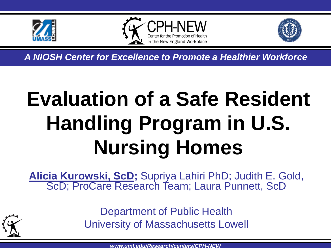





*A NIOSH Center for Excellence to Promote a Healthier Workforce*

# **Evaluation of a Safe Resident Handling Program in U.S. Nursing Homes**

**Alicia Kurowski, ScD;** Supriya Lahiri PhD; Judith E. Gold, ScD; ProCare Research Team; Laura Punnett, ScD



Department of Public Health University of Massachusetts Lowell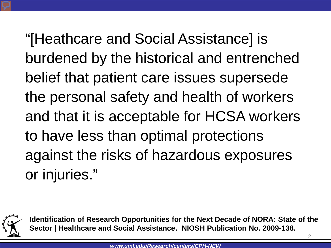"[Heathcare and Social Assistance] is burdened by the historical and entrenched belief that patient care issues supersede the personal safety and health of workers and that it is acceptable for HCSA workers to have less than optimal protections against the risks of hazardous exposures or injuries."



**Identification of Research Opportunities for the Next Decade of NORA: State of the Sector | Healthcare and Social Assistance. NIOSH Publication No. 2009-138.**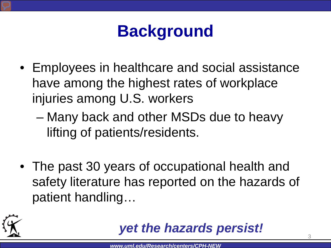## **Background**

- Employees in healthcare and social assistance have among the highest rates of workplace injuries among U.S. workers
	- Many back and other MSDs due to heavy lifting of patients/residents.
- The past 30 years of occupational health and safety literature has reported on the hazards of patient handling…



#### *yet the hazards persist!*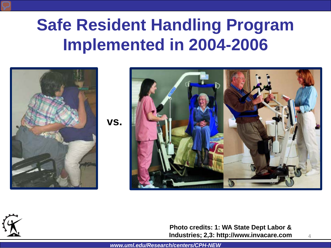## **Safe Resident Handling Program Implemented in 2004-2006**







**Photo credits: 1: WA State Dept Labor & Industries; 2,3: http://www.invacare.com**

*www.uml.edu/Research/centers/CPH-NEW*

4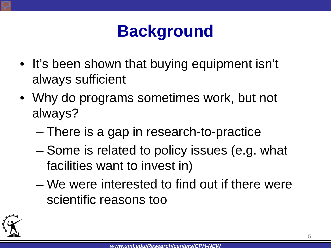## **Background**

- It's been shown that buying equipment isn't always sufficient
- Why do programs sometimes work, but not always?
	- There is a gap in research-to-practice
	- Some is related to policy issues (e.g. what facilities want to invest in)
	- We were interested to find out if there were scientific reasons too

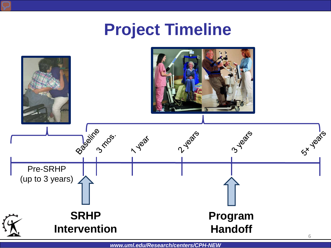## **Project Timeline**

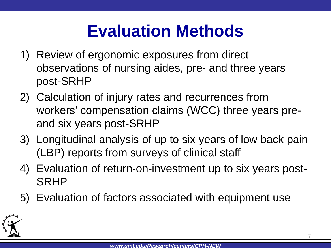## **Evaluation Methods**

- 1) Review of ergonomic exposures from direct observations of nursing aides, pre- and three years post-SRHP
- 2) Calculation of injury rates and recurrences from workers' compensation claims (WCC) three years preand six years post-SRHP
- 3) Longitudinal analysis of up to six years of low back pain (LBP) reports from surveys of clinical staff
- 4) Evaluation of return-on-investment up to six years post-SRHP
- 5) Evaluation of factors associated with equipment use

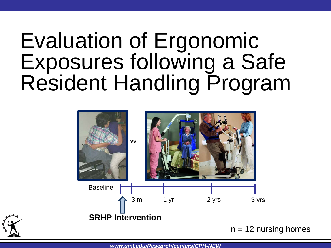## Evaluation of Ergonomic Exposures following a Safe Resident Handling Program





 $n = 12$  nursing homes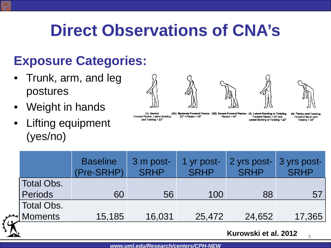## **Direct Observations of CNA's**

### **Exposure Categories:**

- Trunk, arm, and leg postures
- Weight in hands
- Lifting equipment (yes/no)













(1) Neutral Forward Flexion, Lateral Bending and Twisting < 20°

 $20^{\circ}$  < Flexion <  $45^{\circ}$ 

(2A) Moderate Forward Flexion (2B) Severe Forward Flexion (3) Lateral Bending or Twisting Flexion  $> 45^\circ$ 

Forward Flexion < 20° and Lateral Bending or Twisting > 20°

(4) Flexion and Twisting Forward Flexion and Twisting > 20°

|                      | <b>Baseline</b><br>(Pre-SRHP) | 3 m post-<br><b>SRHP</b> | 1 yr post-<br><b>SRHP</b> | 2 yrs post-<br><b>SRHP</b> | 3 yrs post-<br><b>SRHP</b> |
|----------------------|-------------------------------|--------------------------|---------------------------|----------------------------|----------------------------|
| <b>Total Obs.</b>    |                               |                          |                           |                            |                            |
| <b>Periods</b>       | 60                            | 56                       | 100                       | 88                         | 57                         |
| <b>Total Obs.</b>    |                               |                          |                           |                            |                            |
| <sup>★</sup> Moments | 15,185                        | 16,031                   | 25,472                    | 24,652                     | 17,365                     |
|                      |                               |                          |                           |                            |                            |

**Kurowski et al. 2012**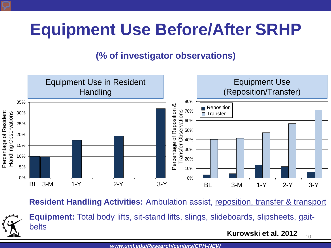## **Equipment Use Before/After SRHP**

#### **(% of investigator observations)**



**Resident Handling Activities:** Ambulation assist, reposition, transfer & transport



**Equipment:** Total body lifts, sit-stand lifts, slings, slideboards, slipsheets, gaitbelts

**Kurowski et al. 2012** 10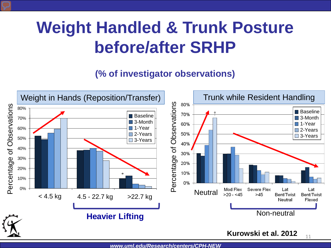## **Weight Handled & Trunk Posture before/after SRHP**

#### **(% of investigator observations)**

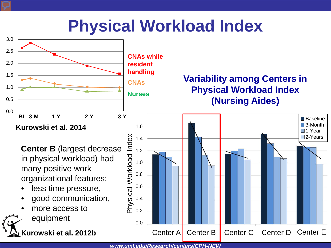### **Physical Workload Index**

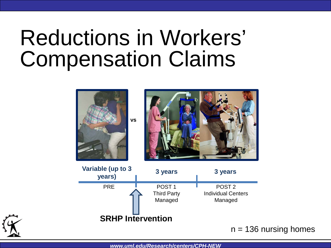## Reductions in Workers' Compensation Claims







 $n = 136$  nursing homes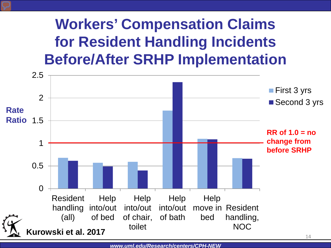### **Workers' Compensation Claims for Resident Handling Incidents Before/After SRHP Implementation**

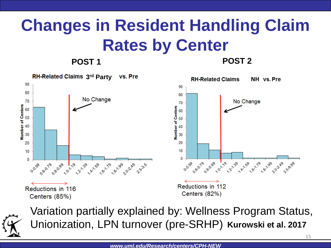## **Changes in Resident Handling Claim Rates by Center**

**POST 1 POST 2**





Unionization, LPN turnover (pre-SRHP) Kurowski et al. 2017 Variation partially explained by: Wellness Program Status,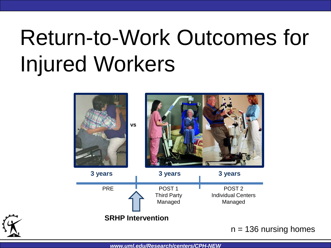# Return-to-Work Outcomes for Injured Workers



 $n = 136$  nursing homes

*www.uml.edu/Research/centers/CPH-NEW*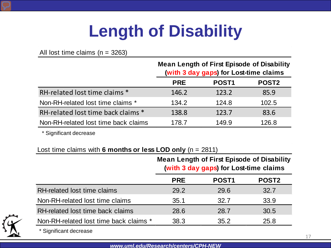## **Length of Disability**

All lost time claims  $(n = 3263)$ 

|                                      | <b>Mean Length of First Episode of Disability</b><br>(with 3 day gaps) for Lost-time claims |                   |              |
|--------------------------------------|---------------------------------------------------------------------------------------------|-------------------|--------------|
|                                      | <b>PRE</b>                                                                                  | POST <sub>1</sub> | <b>POST2</b> |
| RH-related lost time claims *        | 146.2                                                                                       | 123.2             | 85.9         |
| Non-RH-related lost time claims *    | 134.2                                                                                       | 124.8             | 102.5        |
| RH-related lost time back claims *   | 138.8                                                                                       | 123.7             | 83.6         |
| Non-RH-related lost time back claims | 178.7                                                                                       | 149.9             | 126.8        |

\* Significant decrease

#### Lost time claims with **6 months or less LOD only** (n = 2811)

|                                        | <b>Mean Length of First Episode of Disability</b><br>(with 3 day gaps) for Lost-time claims |                   |              |
|----------------------------------------|---------------------------------------------------------------------------------------------|-------------------|--------------|
|                                        | <b>PRE</b>                                                                                  | POST <sub>1</sub> | <b>POST2</b> |
| RH-related lost time claims            | 29.2                                                                                        | 29.6              | 32.7         |
| Non-RH-related lost time claims        | 35.1                                                                                        | 32.7              | 33.9         |
| RH-related lost time back claims       | 28.6                                                                                        | 28.7              | 30.5         |
| Non-RH-related lost time back claims * | 38.3                                                                                        | 35.2              | 25.8         |
|                                        |                                                                                             |                   |              |



\* Significant decrease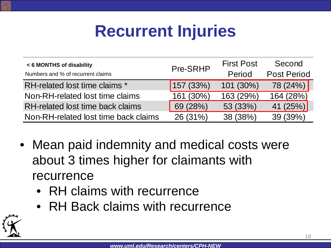## **Recurrent Injuries**

| < 6 MONTHS of disability             | Pre-SRHP  | <b>First Post</b> | Second             |
|--------------------------------------|-----------|-------------------|--------------------|
| Numbers and % of recurrent claims    |           | Period            | <b>Post Period</b> |
| RH-related lost time claims *        | 157 (33%) | 101 (30%)         | 78 (24%)           |
| Non-RH-related lost time claims      | 161 (30%) | 163 (29%)         | 164 (28%)          |
| RH-related lost time back claims     | 69 (28%)  | 53 (33%)          | 41 (25%)           |
| Non-RH-related lost time back claims | 26 (31%)  | 38 (38%)          | 39 (39%)           |

- Mean paid indemnity and medical costs were about 3 times higher for claimants with recurrence
	- RH claims with recurrence
	- RH Back claims with recurrence

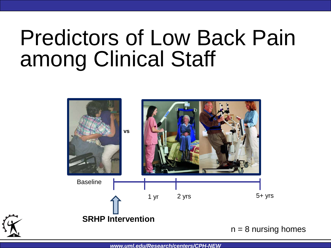# Predictors of Low Back Pain among Clinical Staff



*www.uml.edu/Research/centers/CPH-NEW*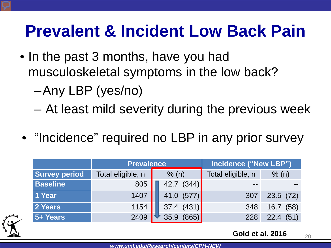## **Prevalent & Incident Low Back Pain**

• In the past 3 months, have you had musculoskeletal symptoms in the low back?

–Any LBP (yes/no)

– At least mild severity during the previous week

• "Incidence" required no LBP in any prior survey

|                      | <b>Prevalence</b> |  | Incidence ("New LBP") |                   |              |
|----------------------|-------------------|--|-----------------------|-------------------|--------------|
| <b>Survey period</b> | Total eligible, n |  | % (n)                 | Total eligible, n | % (n)        |
| <b>Baseline</b>      | 805               |  | 42.7<br>(344)         |                   |              |
| 1 Year               | 1407              |  | 41.0<br>(577)         | 307               | 23.5(72)     |
| 2 Years              | 1154              |  | (431)<br>37.4         | 348               | (58)<br>16.7 |
| 5+ Years             | 2409              |  |                       | 228               | 22.4(51)     |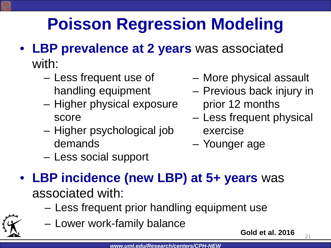## **Poisson Regression Modeling**

- **LBP prevalence at 2 years** was associated with:
	- Less frequent use of handling equipment
	- Higher physical exposure score
	- Higher psychological job demands
- More physical assault
- Previous back injury in prior 12 months
- Less frequent physical exercise
- Younger age
- Less social support
- **LBP incidence (new LBP) at 5+ years** was associated with:
	- Less frequent prior handling equipment use
	- Lower work-family balance

**Gold et al. 2016**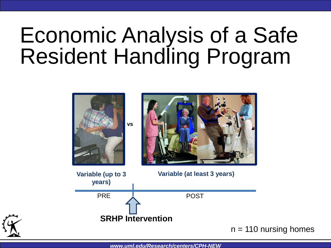# Economic Analysis of a Safe Resident Handling Program



*www.uml.edu/Research/centers/CPH-NEW*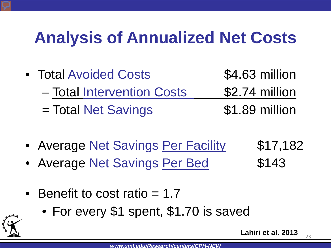## **Analysis of Annualized Net Costs**

- Total Avoided Costs 54.63 million – Total Intervention Costs \$2.74 million = Total Net Savings 51.89 million
- Average Net Savings Per Facility \$17,182
- Average Net Savings Per Bed \$143
- 

- Benefit to cost ratio = 1.7
	- For every \$1 spent, \$1.70 is saved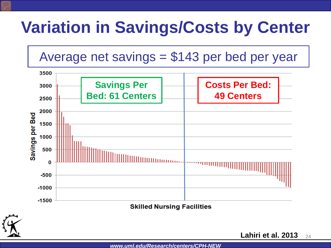## **Variation in Savings/Costs by Center**

Average net savings = \$143 per bed per year



**Lahiri et al. 2013** 24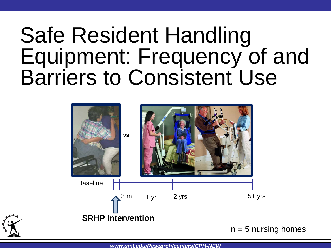## Safe Resident Handling Equipment: Frequency of and Barriers to Consistent Use



 $n = 5$  nursing homes

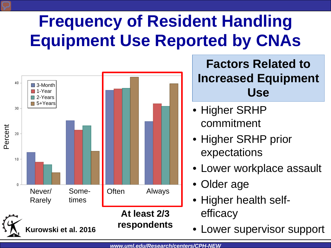## **Frequency of Resident Handling Equipment Use Reported by CNAs**



#### **Factors Related to Increased Equipment Use**

- Higher SRHP commitment
- Higher SRHP prior expectations
- Lower workplace assault
- Older age
- Higher health selfefficacy
-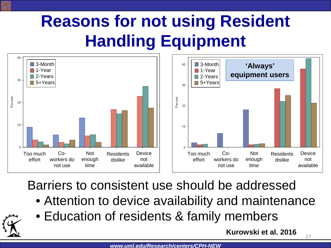## **Reasons for not using Resident Handling Equipment**





Barriers to consistent use should be addressed

- Attention to device availability and maintenance
- Education of residents & family members

**Kurowski et al. 2016**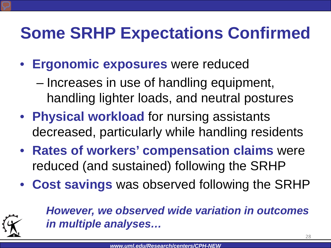## **Some SRHP Expectations Confirmed**

- **Ergonomic exposures** were reduced
	- Increases in use of handling equipment, handling lighter loads, and neutral postures
- **Physical workload** for nursing assistants decreased, particularly while handling residents
- **Rates of workers' compensation claims** were reduced (and sustained) following the SRHP
- **Cost savings** was observed following the SRHP



*However, we observed wide variation in outcomes in multiple analyses…*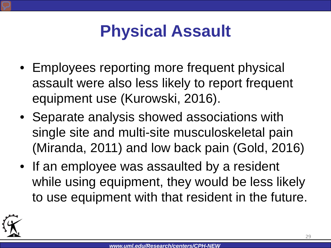## **Physical Assault**

- Employees reporting more frequent physical assault were also less likely to report frequent equipment use (Kurowski, 2016).
- Separate analysis showed associations with single site and multi-site musculoskeletal pain (Miranda, 2011) and low back pain (Gold, 2016)
- If an employee was assaulted by a resident while using equipment, they would be less likely to use equipment with that resident in the future.

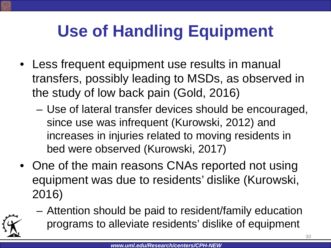## **Use of Handling Equipment**

- Less frequent equipment use results in manual transfers, possibly leading to MSDs, as observed in the study of low back pain (Gold, 2016)
	- Use of lateral transfer devices should be encouraged, since use was infrequent (Kurowski, 2012) and increases in injuries related to moving residents in bed were observed (Kurowski, 2017)
- One of the main reasons CNAs reported not using equipment was due to residents' dislike (Kurowski, 2016)
	- Attention should be paid to resident/family education programs to alleviate residents' dislike of equipment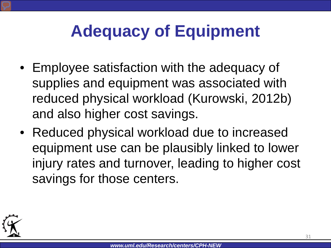## **Adequacy of Equipment**

- Employee satisfaction with the adequacy of supplies and equipment was associated with reduced physical workload (Kurowski, 2012b) and also higher cost savings.
- Reduced physical workload due to increased equipment use can be plausibly linked to lower injury rates and turnover, leading to higher cost savings for those centers.

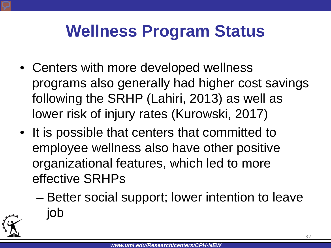## **Wellness Program Status**

- Centers with more developed wellness programs also generally had higher cost savings following the SRHP (Lahiri, 2013) as well as lower risk of injury rates (Kurowski, 2017)
- It is possible that centers that committed to employee wellness also have other positive organizational features, which led to more effective SRHPs
	- Better social support; lower intention to leave job

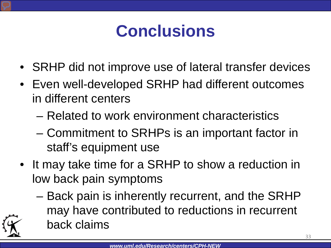## **Conclusions**

- SRHP did not improve use of lateral transfer devices
- Even well-developed SRHP had different outcomes in different centers
	- Related to work environment characteristics
	- Commitment to SRHPs is an important factor in staff's equipment use
- It may take time for a SRHP to show a reduction in low back pain symptoms
	- Back pain is inherently recurrent, and the SRHP may have contributed to reductions in recurrent back claims

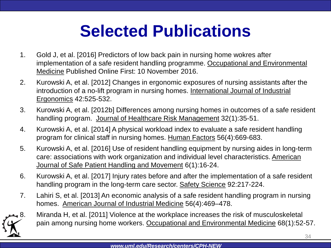## **Selected Publications**

- 1. Gold J, et al. [2016] Predictors of low back pain in nursing home wokres after implementation of a safe resident handling programme. Occupational and Environmental Medicine Published Online First: 10 November 2016.
- 2. Kurowski A, et al. [2012] Changes in ergonomic exposures of nursing assistants after the introduction of a no-lift program in nursing homes. International Journal of Industrial Ergonomics 42:525-532.
- 3. Kurowski A, et al. [2012b] Differences among nursing homes in outcomes of a safe resident handling program. Journal of Healthcare Risk Management 32(1):35-51.
- 4. Kurowski A, et al. [2014] A physical workload index to evaluate a safe resident handling program for clinical staff in nursing homes. Human Factors 56(4):669-683.
- 5. Kurowski A, et al. [2016] Use of resident handling equipment by nursing aides in long-term care: associations with work organization and individual level characteristics. American Journal of Safe Patient Handling and Movement 6(1):16-24.
- 6. Kurowski A, et al. [2017] Injury rates before and after the implementation of a safe resident handling program in the long-term care sector. Safety Science 92:217-224.
- 7. Lahiri S, et al. [2013] An economic analysis of a safe resident handling program in nursing homes. American Journal of Industrial Medicine 56(4):469–478.



Miranda H, et al. [2011] Violence at the workplace increases the risk of musculoskeletal pain among nursing home workers. Occupational and Environmental Medicine 68(1):52-57.